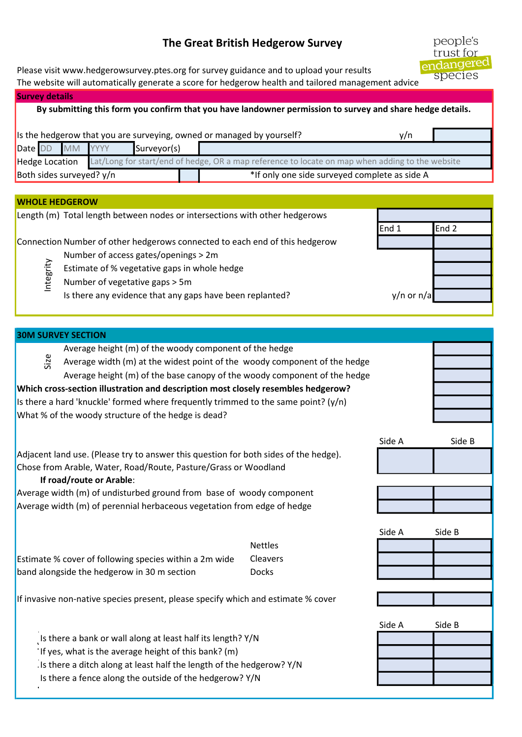## The Great British Hedgerow Survey

Please visit www.hedgerowsurvey.ptes.org for survey guidance and to upload your results

The website will automatically generate a score for hedgerow health and tailored management advice

| <b>Survey details</b>                                                                                     |                                                                              |                                                                                                 |  |             |                                               |  |  |  |
|-----------------------------------------------------------------------------------------------------------|------------------------------------------------------------------------------|-------------------------------------------------------------------------------------------------|--|-------------|-----------------------------------------------|--|--|--|
| By submitting this form you confirm that you have landowner permission to survey and share hedge details. |                                                                              |                                                                                                 |  |             |                                               |  |  |  |
|                                                                                                           |                                                                              |                                                                                                 |  |             |                                               |  |  |  |
|                                                                                                           | Is the hedgerow that you are surveying, owned or managed by yourself?<br>v/n |                                                                                                 |  |             |                                               |  |  |  |
|                                                                                                           |                                                                              | Date DD MM YYYY                                                                                 |  | Surveyor(s) |                                               |  |  |  |
| <b>Hedge Location</b>                                                                                     |                                                                              | Lat/Long for start/end of hedge, OR a map reference to locate on map when adding to the website |  |             |                                               |  |  |  |
| Both sides surveyed? y/n                                                                                  |                                                                              |                                                                                                 |  |             | *If only one side surveyed complete as side A |  |  |  |
|                                                                                                           |                                                                              |                                                                                                 |  |             |                                               |  |  |  |

## WHOLE HEDGEROW

Length (m) Total length between nodes or intersections with other hedgerows

Connection Number of other hedgerows connected to each end of this hedgerow

- Number of access gates/openings > 2m
- Estimate of % vegetative gaps in whole hedge<br>  $\frac{60}{5}$  Number of vegetative gaps > 5m
- Number of vegetative gaps > 5m

Is there any evidence that any gaps have been replanted? y/n or n/a

| <b>30M SURVEY SECTION</b>                                                            |                                                                                      |                |        |        |  |  |  |
|--------------------------------------------------------------------------------------|--------------------------------------------------------------------------------------|----------------|--------|--------|--|--|--|
|                                                                                      | Average height (m) of the woody component of the hedge                               |                |        |        |  |  |  |
| Size                                                                                 | Average width (m) at the widest point of the woody component of the hedge            |                |        |        |  |  |  |
|                                                                                      | Average height (m) of the base canopy of the woody component of the hedge            |                |        |        |  |  |  |
| Which cross-section illustration and description most closely resembles hedgerow?    |                                                                                      |                |        |        |  |  |  |
| Is there a hard 'knuckle' formed where frequently trimmed to the same point? $(y/n)$ |                                                                                      |                |        |        |  |  |  |
|                                                                                      | What % of the woody structure of the hedge is dead?                                  |                |        |        |  |  |  |
|                                                                                      |                                                                                      |                |        |        |  |  |  |
|                                                                                      |                                                                                      |                | Side A | Side B |  |  |  |
|                                                                                      | Adjacent land use. (Please try to answer this question for both sides of the hedge). |                |        |        |  |  |  |
|                                                                                      | Chose from Arable, Water, Road/Route, Pasture/Grass or Woodland                      |                |        |        |  |  |  |
|                                                                                      | If road/route or Arable:                                                             |                |        |        |  |  |  |
|                                                                                      | Average width (m) of undisturbed ground from base of woody component                 |                |        |        |  |  |  |
|                                                                                      | Average width (m) of perennial herbaceous vegetation from edge of hedge              |                |        |        |  |  |  |
|                                                                                      |                                                                                      |                |        |        |  |  |  |
|                                                                                      |                                                                                      |                | Side A | Side B |  |  |  |
|                                                                                      |                                                                                      | <b>Nettles</b> |        |        |  |  |  |
|                                                                                      | Estimate % cover of following species within a 2m wide                               | Cleavers       |        |        |  |  |  |
|                                                                                      | band alongside the hedgerow in 30 m section                                          | <b>Docks</b>   |        |        |  |  |  |
|                                                                                      |                                                                                      |                |        |        |  |  |  |
|                                                                                      | If invasive non-native species present, please specify which and estimate % cover    |                |        |        |  |  |  |
|                                                                                      |                                                                                      |                |        |        |  |  |  |
|                                                                                      |                                                                                      |                | Side A | Side B |  |  |  |
|                                                                                      | Is there a bank or wall along at least half its length? Y/N                          |                |        |        |  |  |  |
|                                                                                      | If yes, what is the average height of this bank? (m)                                 |                |        |        |  |  |  |
| Is there a ditch along at least half the length of the hedgerow? Y/N                 |                                                                                      |                |        |        |  |  |  |
| Is there a fence along the outside of the hedgerow? Y/N                              |                                                                                      |                |        |        |  |  |  |
|                                                                                      |                                                                                      |                |        |        |  |  |  |

people's trust for endangered species

End 1 End 2